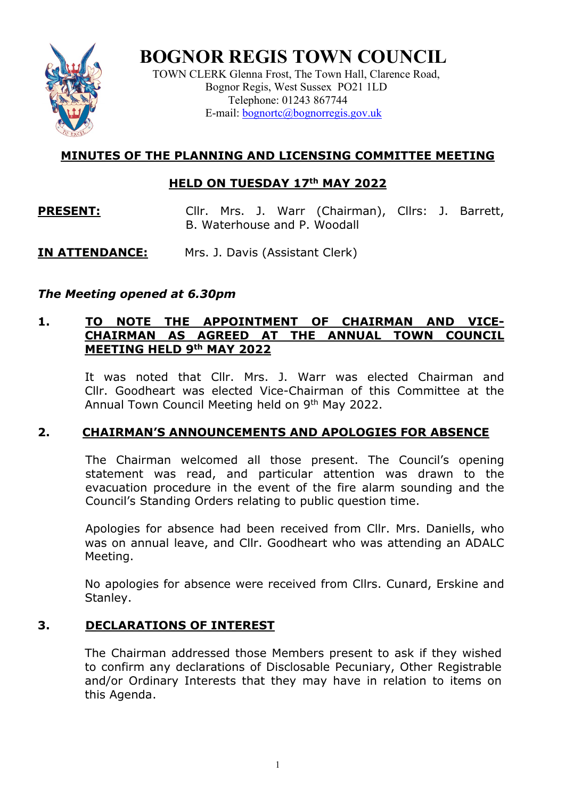

**BOGNOR REGIS TOWN COUNCIL**

TOWN CLERK Glenna Frost, The Town Hall, Clarence Road, Bognor Regis, West Sussex PO21 1LD Telephone: 01243 867744 E-mail: <u>bognortc@bognorregis.gov.uk</u>

# **MINUTES OF THE PLANNING AND LICENSING COMMITTEE MEETING**

### **HELD ON TUESDAY 17th MAY 2022**

**PRESENT:** Cllr. Mrs. J. Warr (Chairman), Cllrs: J. Barrett, B. Waterhouse and P. Woodall

## **IN ATTENDANCE:** Mrs. J. Davis (Assistant Clerk)

# *The Meeting opened at 6.30pm*

### **1. TO NOTE THE APPOINTMENT OF CHAIRMAN AND VICE-CHAIRMAN AS AGREED AT THE ANNUAL TOWN COUNCIL MEETING HELD 9th MAY 2022**

It was noted that Cllr. Mrs. J. Warr was elected Chairman and Cllr. Goodheart was elected Vice-Chairman of this Committee at the Annual Town Council Meeting held on 9<sup>th</sup> May 2022.

## **2. CHAIRMAN'S ANNOUNCEMENTS AND APOLOGIES FOR ABSENCE**

The Chairman welcomed all those present. The Council's opening statement was read, and particular attention was drawn to the evacuation procedure in the event of the fire alarm sounding and the Council's Standing Orders relating to public question time.

Apologies for absence had been received from Cllr. Mrs. Daniells, who was on annual leave, and Cllr. Goodheart who was attending an ADALC Meeting.

No apologies for absence were received from Cllrs. Cunard, Erskine and Stanley.

## **3. DECLARATIONS OF INTEREST**

The Chairman addressed those Members present to ask if they wished to confirm any declarations of Disclosable Pecuniary, Other Registrable and/or Ordinary Interests that they may have in relation to items on this Agenda.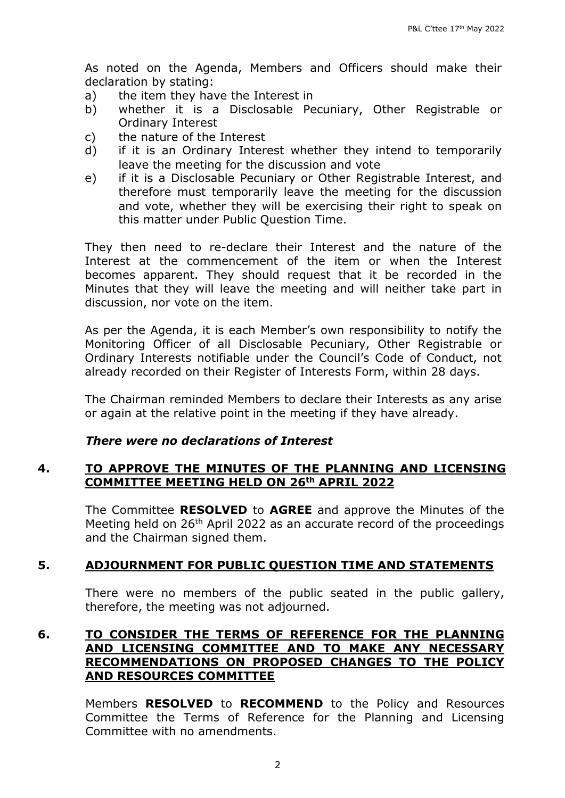As noted on the Agenda, Members and Officers should make their

- declaration by stating:<br>a) the item they hav the item they have the Interest in
- b) whether it is a Disclosable Pecuniary, Other Registrable or Ordinary Interest
- c) the nature of the Interest
- d) if it is an Ordinary Interest whether they intend to temporarily leave the meeting for the discussion and vote
- e) if it is a Disclosable Pecuniary or Other Registrable Interest, and therefore must temporarily leave the meeting for the discussion and vote, whether they will be exercising their right to speak on this matter under Public Question Time.

They then need to re-declare their Interest and the nature of the Interest at the commencement of the item or when the Interest becomes apparent. They should request that it be recorded in the Minutes that they will leave the meeting and will neither take part in discussion, nor vote on the item.

As per the Agenda, it is each Member's own responsibility to notify the Monitoring Officer of all Disclosable Pecuniary, Other Registrable or Ordinary Interests notifiable under the Council's Code of Conduct, not already recorded on their Register of Interests Form, within 28 days.

The Chairman reminded Members to declare their Interests as any arise or again at the relative point in the meeting if they have already.

#### *There were no declarations of Interest*

### **4. TO APPROVE THE MINUTES OF THE PLANNING AND LICENSING COMMITTEE MEETING HELD ON 26th APRIL 2022**

The Committee **RESOLVED** to **AGREE** and approve the Minutes of the Meeting held on 26<sup>th</sup> April 2022 as an accurate record of the proceedings and the Chairman signed them.

### **5. ADJOURNMENT FOR PUBLIC QUESTION TIME AND STATEMENTS**

There were no members of the public seated in the public gallery, therefore, the meeting was not adjourned.

#### **6. TO CONSIDER THE TERMS OF REFERENCE FOR THE PLANNING AND LICENSING COMMITTEE AND TO MAKE ANY NECESSARY RECOMMENDATIONS ON PROPOSED CHANGES TO THE POLICY AND RESOURCES COMMITTEE**

Members **RESOLVED** to **RECOMMEND** to the Policy and Resources Committee the Terms of Reference for the Planning and Licensing Committee with no amendments.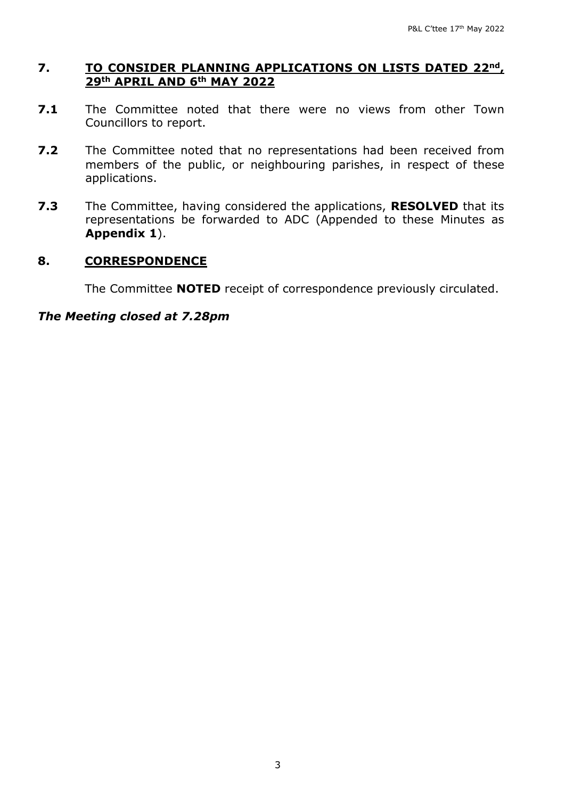### **7. TO CONSIDER PLANNING APPLICATIONS ON LISTS DATED 22nd, 29th APRIL AND 6th MAY 2022**

- **7.1** The Committee noted that there were no views from other Town Councillors to report.
- **7.2** The Committee noted that no representations had been received from members of the public, or neighbouring parishes, in respect of these applications.
- **7.3** The Committee, having considered the applications, **RESOLVED** that its representations be forwarded to ADC (Appended to these Minutes as **Appendix 1**).

#### **8. CORRESPONDENCE**

The Committee **NOTED** receipt of correspondence previously circulated.

#### *The Meeting closed at 7.28pm*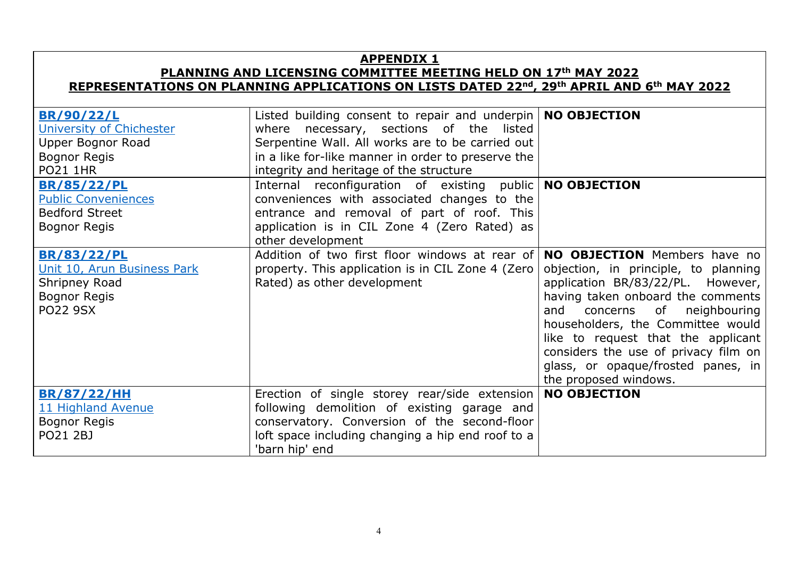## **APPENDIX 1**

#### **PLANNING AND LICENSING COMMITTEE MEETING HELD ON 17th MAY 2022 REPRESENTATIONS ON PLANNING APPLICATIONS ON LISTS DATED 22nd, 29th APRIL AND 6th MAY 2022**

| <b>BR/90/22/L</b><br>University of Chichester<br>Upper Bognor Road                                    | Listed building consent to repair and underpin   NO OBJECTION<br>where necessary, sections of the listed<br>Serpentine Wall. All works are to be carried out                                                                 |                                                                                                                                                                                                                                                                                                                                                                            |
|-------------------------------------------------------------------------------------------------------|------------------------------------------------------------------------------------------------------------------------------------------------------------------------------------------------------------------------------|----------------------------------------------------------------------------------------------------------------------------------------------------------------------------------------------------------------------------------------------------------------------------------------------------------------------------------------------------------------------------|
| <b>Bognor Regis</b><br><b>PO21 1HR</b>                                                                | in a like for-like manner in order to preserve the<br>integrity and heritage of the structure                                                                                                                                |                                                                                                                                                                                                                                                                                                                                                                            |
| <b>BR/85/22/PL</b><br><b>Public Conveniences</b><br><b>Bedford Street</b><br>Bognor Regis             | Internal reconfiguration of existing public   NO OBJECTION<br>conveniences with associated changes to the<br>entrance and removal of part of roof. This<br>application is in CIL Zone 4 (Zero Rated) as<br>other development |                                                                                                                                                                                                                                                                                                                                                                            |
| <b>BR/83/22/PL</b><br>Unit 10, Arun Business Park<br>Shripney Road<br>Bognor Regis<br><b>PO22 9SX</b> | Addition of two first floor windows at rear of<br>property. This application is in CIL Zone 4 (Zero<br>Rated) as other development                                                                                           | <b>NO OBJECTION</b> Members have no<br>objection, in principle, to planning<br>application BR/83/22/PL. However,<br>having taken onboard the comments<br>concerns of neighbouring<br>and<br>householders, the Committee would<br>like to request that the applicant<br>considers the use of privacy film on<br>glass, or opaque/frosted panes, in<br>the proposed windows. |
| <b>BR/87/22/HH</b><br>11 Highland Avenue<br><b>Bognor Regis</b><br>PO21 2BJ                           | Erection of single storey rear/side extension<br>following demolition of existing garage and<br>conservatory. Conversion of the second-floor<br>loft space including changing a hip end roof to a<br>'barn hip' end          | <b>NO OBJECTION</b>                                                                                                                                                                                                                                                                                                                                                        |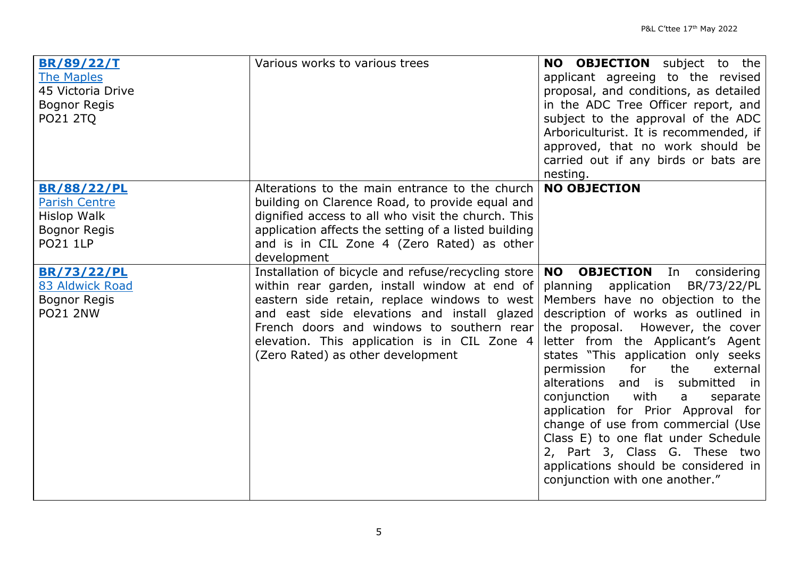| <b>BR/89/22/T</b>    | Various works to various trees                                                  | <b>NO OBJECTION</b> subject to the           |
|----------------------|---------------------------------------------------------------------------------|----------------------------------------------|
| <b>The Maples</b>    |                                                                                 | applicant agreeing to the revised            |
| 45 Victoria Drive    |                                                                                 | proposal, and conditions, as detailed        |
| <b>Bognor Regis</b>  |                                                                                 | in the ADC Tree Officer report, and          |
| <b>PO21 2TQ</b>      |                                                                                 | subject to the approval of the ADC           |
|                      |                                                                                 | Arboriculturist. It is recommended, if       |
|                      |                                                                                 | approved, that no work should be             |
|                      |                                                                                 | carried out if any birds or bats are         |
|                      |                                                                                 | nesting.                                     |
| <b>BR/88/22/PL</b>   | Alterations to the main entrance to the church                                  | <b>NO OBJECTION</b>                          |
| <b>Parish Centre</b> | building on Clarence Road, to provide equal and                                 |                                              |
| <b>Hislop Walk</b>   | dignified access to all who visit the church. This                              |                                              |
| <b>Bognor Regis</b>  | application affects the setting of a listed building                            |                                              |
| <b>PO21 1LP</b>      | and is in CIL Zone 4 (Zero Rated) as other                                      |                                              |
|                      | development                                                                     |                                              |
| <b>BR/73/22/PL</b>   | Installation of bicycle and refuse/recycling store                              | <b>NO</b><br><b>OBJECTION</b> In considering |
| 83 Aldwick Road      | within rear garden, install window at end of                                    | planning application<br>BR/73/22/PL          |
| <b>Bognor Regis</b>  | eastern side retain, replace windows to west Members have no objection to the   |                                              |
| <b>PO21 2NW</b>      | and east side elevations and install glazed description of works as outlined in |                                              |
|                      | French doors and windows to southern rear                                       | the proposal. However, the cover             |
|                      | elevation. This application is in CIL Zone 4                                    | letter from the Applicant's Agent            |
|                      | (Zero Rated) as other development                                               | states "This application only seeks          |
|                      |                                                                                 | the<br>for<br>permission<br>external         |
|                      |                                                                                 | alterations and is submitted in              |
|                      |                                                                                 | conjunction<br>with<br>a<br>separate         |
|                      |                                                                                 | application for Prior Approval for           |
|                      |                                                                                 | change of use from commercial (Use           |
|                      |                                                                                 | Class E) to one flat under Schedule          |
|                      |                                                                                 | 2, Part 3, Class G. These two                |
|                      |                                                                                 | applications should be considered in         |
|                      |                                                                                 | conjunction with one another."               |
|                      |                                                                                 |                                              |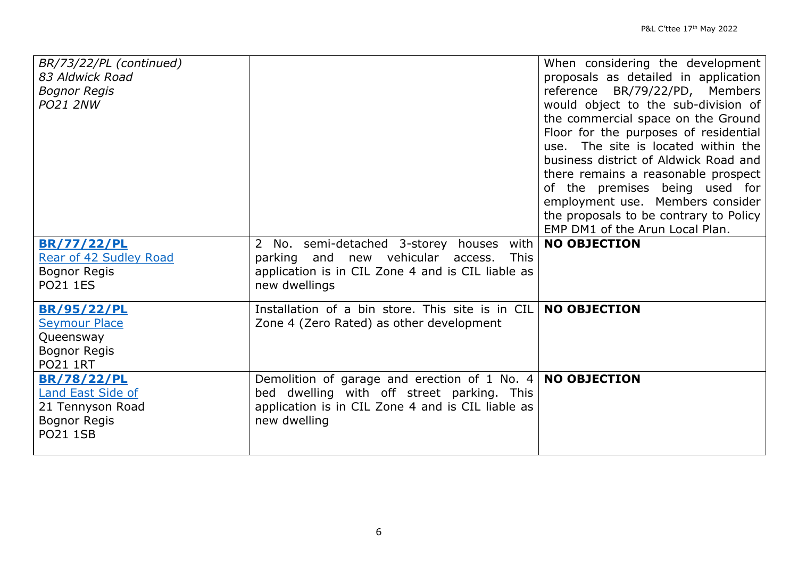| BR/73/22/PL (continued)<br>83 Aldwick Road<br><b>Bognor Regis</b><br><b>PO21 2NW</b>                  |                                                                                                                                                                                | When considering the development<br>proposals as detailed in application<br>reference BR/79/22/PD, Members<br>would object to the sub-division of<br>the commercial space on the Ground<br>Floor for the purposes of residential<br>use. The site is located within the<br>business district of Aldwick Road and<br>there remains a reasonable prospect<br>of the premises being used for<br>employment use. Members consider<br>the proposals to be contrary to Policy<br>EMP DM1 of the Arun Local Plan. |
|-------------------------------------------------------------------------------------------------------|--------------------------------------------------------------------------------------------------------------------------------------------------------------------------------|------------------------------------------------------------------------------------------------------------------------------------------------------------------------------------------------------------------------------------------------------------------------------------------------------------------------------------------------------------------------------------------------------------------------------------------------------------------------------------------------------------|
| <b>BR/77/22/PL</b><br>Rear of 42 Sudley Road<br><b>Bognor Regis</b><br><b>PO21 1ES</b>                | 2 No. semi-detached 3-storey houses<br>with<br>parking and new vehicular<br><b>This</b><br>access.<br>application is in CIL Zone 4 and is CIL liable as<br>new dwellings       | <b>NO OBJECTION</b>                                                                                                                                                                                                                                                                                                                                                                                                                                                                                        |
| <b>BR/95/22/PL</b><br><b>Seymour Place</b><br>Queensway<br>Bognor Regis<br><b>PO21 1RT</b>            | Installation of a bin store. This site is in CIL<br>Zone 4 (Zero Rated) as other development                                                                                   | <b>NO OBJECTION</b>                                                                                                                                                                                                                                                                                                                                                                                                                                                                                        |
| <b>BR/78/22/PL</b><br><b>Land East Side of</b><br>21 Tennyson Road<br>Bognor Regis<br><b>PO21 1SB</b> | Demolition of garage and erection of 1 No. 4   NO OBJECTION<br>bed dwelling with off street parking. This<br>application is in CIL Zone 4 and is CIL liable as<br>new dwelling |                                                                                                                                                                                                                                                                                                                                                                                                                                                                                                            |